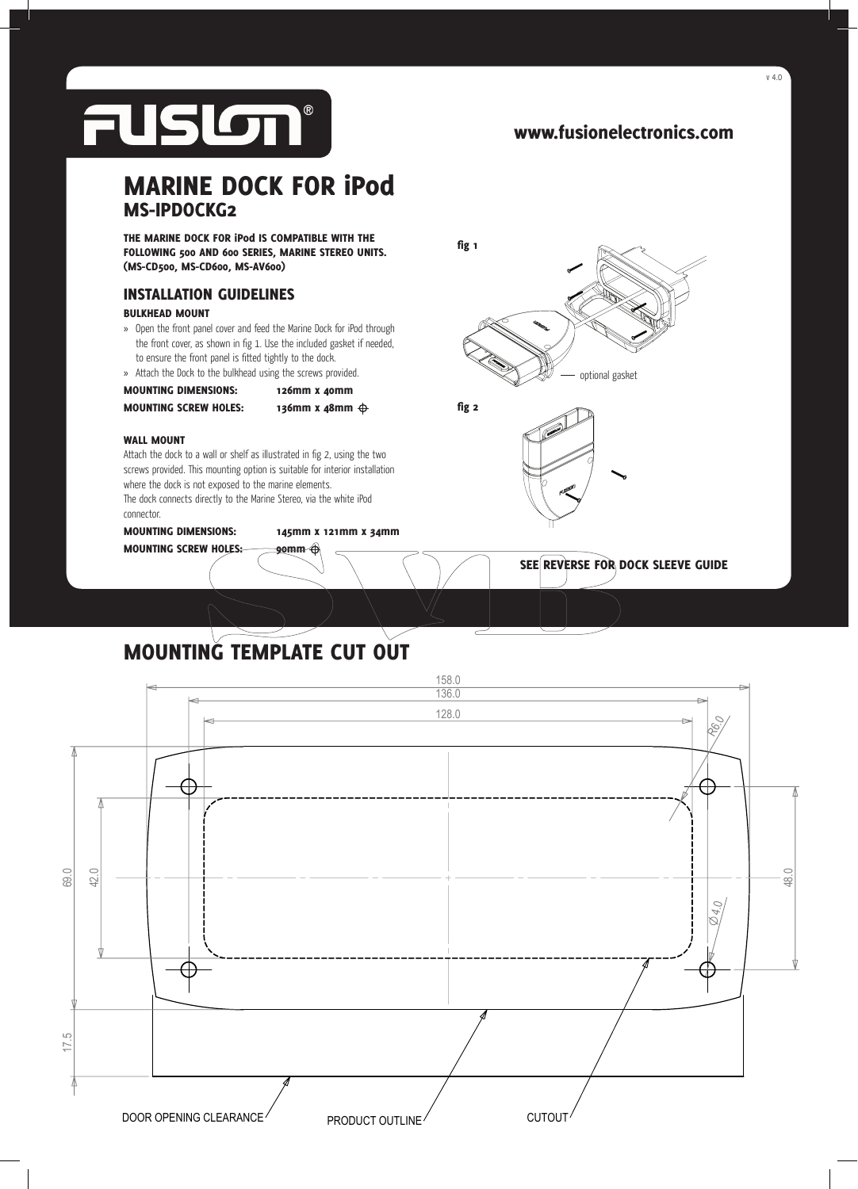

v 4.0

optional gasket

SEE REVERSE FOR DOCK SLEEVE GUIDE

## MARINE DOCK FOR iPod MS-IPDOCKG2

THE MARINE DOCK FOR iPod IS COMPATIBLE WITH THE FOLLOWING 500 AND 600 SERIES, MARINE STEREO UNITS. (MS-CD500, MS-CD600, MS-AV600)

### INSTALLATION GUIDELINES

#### BULKHEAD MOUNT

- » Open the front panel cover and feed the Marine Dock for iPod through the front cover, as shown in fig 1. Use the included gasket if needed, to ensure the front panel is fitted tightly to the dock.
- » Attach the Dock to the bulkhead using the screws provided.
- MOUNTING DIMENSIONS: 126mm x 40mm

MOUNTING SCREW HOLES: 136mm x 48mm  $\oplus$ 

fig 2

fig 1

#### WALL MOUNT

Attach the dock to a wall or shelf as illustrated in fig 2, using the two screws provided. This mounting option is suitable for interior installation where the dock is not exposed to the marine elements.

The dock connects directly to the Marine Stereo, via the white iPod connector.

MOUNTING DIMENSIONS: 145mm x 121mm x 34mm

MOUNTING SCREW HOLES: 90mm

# MOUNTING TEMPLATE CUT OUT